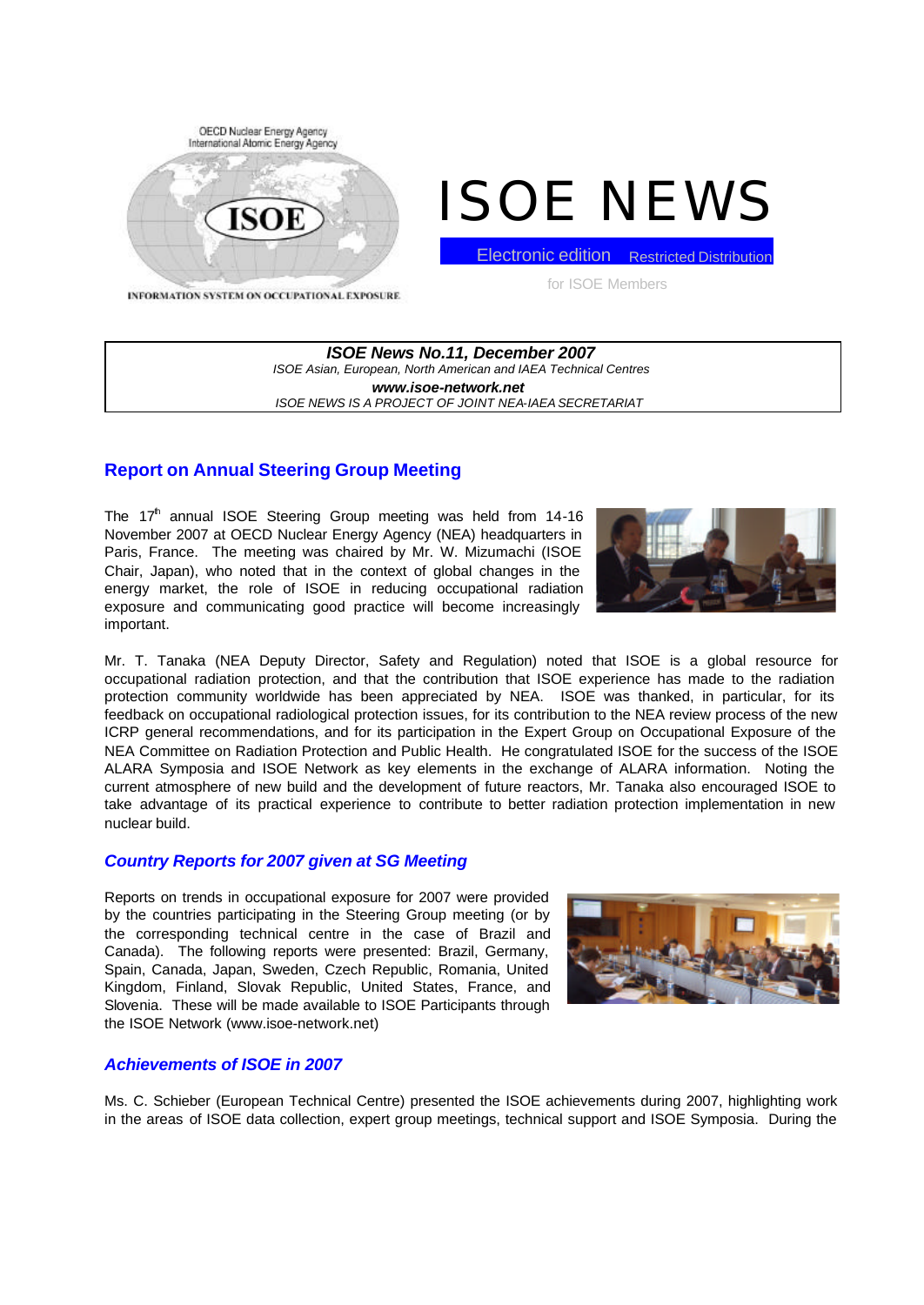

# ISOE NEWS

**Electronic edition** Restricted Distribution

INFORMATION SYSTEM ON OCCUPATIONAL EXPOSURE

for ISOE Members

*ISOE News No.11, December 2007 ISOE Asian, European, North American and IAEA Technical Centres www.isoe-network.net ISOE NEWS IS A PROJECT OF JOINT NEA-IAEA SECRETARIAT*

# **Report on Annual Steering Group Meeting**

The  $17<sup>th</sup>$  annual ISOE Steering Group meeting was held from 14-16 November 2007 at OECD Nuclear Energy Agency (NEA) headquarters in Paris, France. The meeting was chaired by Mr. W. Mizumachi (ISOE Chair, Japan), who noted that in the context of global changes in the energy market, the role of ISOE in reducing occupational radiation exposure and communicating good practice will become increasingly important.



Mr. T. Tanaka (NEA Deputy Director, Safety and Regulation) noted that ISOE is a global resource for occupational radiation protection, and that the contribution that ISOE experience has made to the radiation protection community worldwide has been appreciated by NEA. ISOE was thanked, in particular, for its feedback on occupational radiological protection issues, for its contribution to the NEA review process of the new ICRP general recommendations, and for its participation in the Expert Group on Occupational Exposure of the NEA Committee on Radiation Protection and Public Health. He congratulated ISOE for the success of the ISOE ALARA Symposia and ISOE Network as key elements in the exchange of ALARA information. Noting the current atmosphere of new build and the development of future reactors, Mr. Tanaka also encouraged ISOE to take advantage of its practical experience to contribute to better radiation protection implementation in new nuclear build.

# *Country Reports for 2007 given at SG Meeting*

Reports on trends in occupational exposure for 2007 were provided by the countries participating in the Steering Group meeting (or by the corresponding technical centre in the case of Brazil and Canada). The following reports were presented: Brazil, Germany, Spain, Canada, Japan, Sweden, Czech Republic, Romania, United Kingdom, Finland, Slovak Republic, United States, France, and Slovenia. These will be made available to ISOE Participants through the ISOE Network (www.isoe-network.net)



# *Achievements of ISOE in 2007*

Ms. C. Schieber (European Technical Centre) presented the ISOE achievements during 2007, highlighting work in the areas of ISOE data collection, expert group meetings, technical support and ISOE Symposia. During the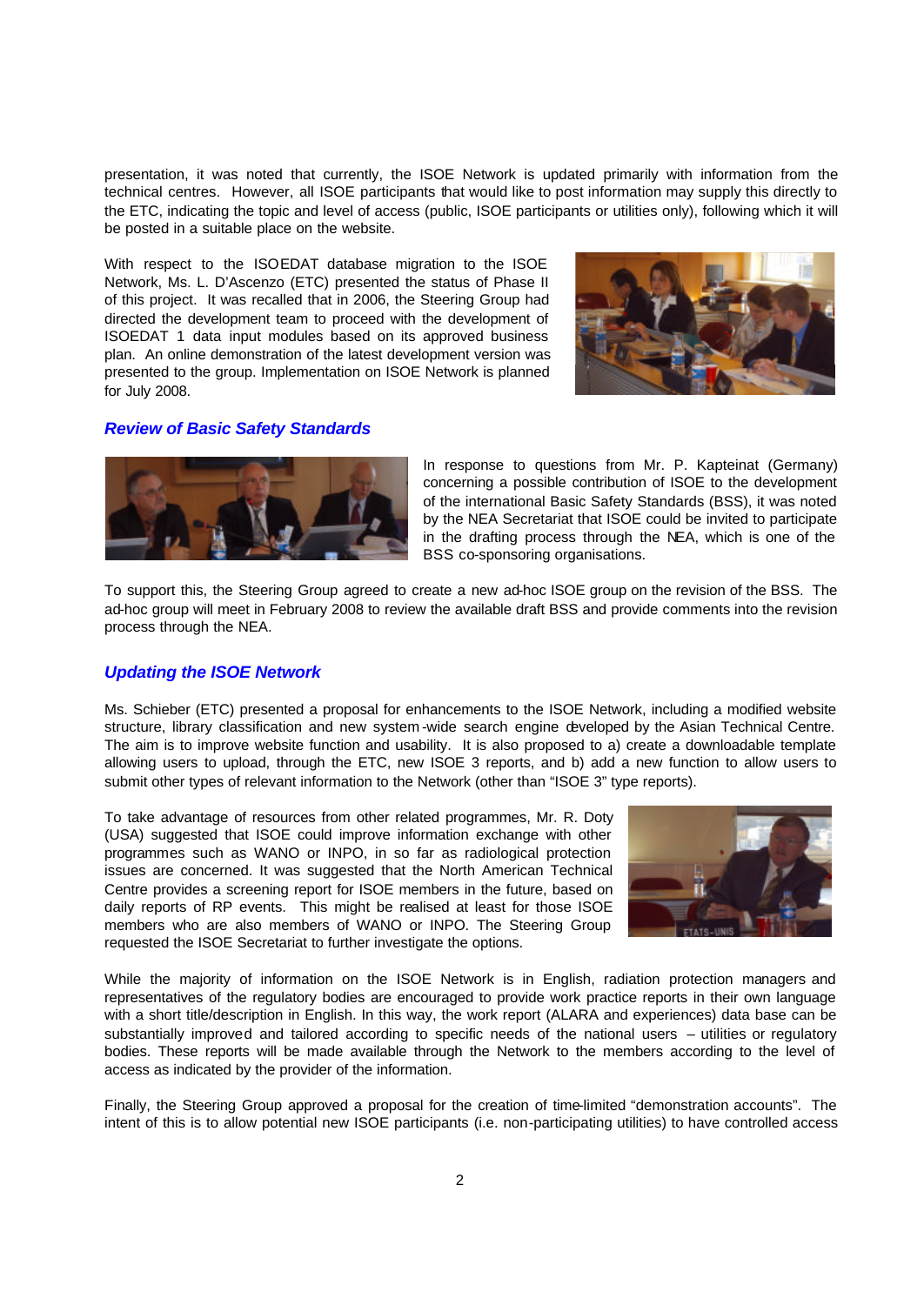presentation, it was noted that currently, the ISOE Network is updated primarily with information from the technical centres. However, all ISOE participants that would like to post information may supply this directly to the ETC, indicating the topic and level of access (public, ISOE participants or utilities only), following which it will be posted in a suitable place on the website.

With respect to the ISOEDAT database migration to the ISOE Network, Ms. L. D'Ascenzo (ETC) presented the status of Phase II of this project. It was recalled that in 2006, the Steering Group had directed the development team to proceed with the development of ISOEDAT 1 data input modules based on its approved business plan. An online demonstration of the latest development version was presented to the group. Implementation on ISOE Network is planned for July 2008.



#### *Review of Basic Safety Standards*



In response to questions from Mr. P. Kapteinat (Germany) concerning a possible contribution of ISOE to the development of the international Basic Safety Standards (BSS), it was noted by the NEA Secretariat that ISOE could be invited to participate in the drafting process through the NEA, which is one of the BSS co-sponsoring organisations.

To support this, the Steering Group agreed to create a new ad-hoc ISOE group on the revision of the BSS. The ad-hoc group will meet in February 2008 to review the available draft BSS and provide comments into the revision process through the NEA.

#### *Updating the ISOE Network*

Ms. Schieber (ETC) presented a proposal for enhancements to the ISOE Network, including a modified website structure, library classification and new system -wide search engine developed by the Asian Technical Centre. The aim is to improve website function and usability. It is also proposed to a) create a downloadable template allowing users to upload, through the ETC, new ISOE 3 reports, and b) add a new function to allow users to submit other types of relevant information to the Network (other than "ISOE 3" type reports).

To take advantage of resources from other related programmes, Mr. R. Doty (USA) suggested that ISOE could improve information exchange with other programmes such as WANO or INPO, in so far as radiological protection issues are concerned. It was suggested that the North American Technical Centre provides a screening report for ISOE members in the future, based on daily reports of RP events. This might be realised at least for those ISOE members who are also members of WANO or INPO. The Steering Group requested the ISOE Secretariat to further investigate the options.



While the majority of information on the ISOE Network is in English, radiation protection managers and representatives of the regulatory bodies are encouraged to provide work practice reports in their own language with a short title/description in English. In this way, the work report (ALARA and experiences) data base can be substantially improved and tailored according to specific needs of the national users – utilities or regulatory bodies. These reports will be made available through the Network to the members according to the level of access as indicated by the provider of the information.

Finally, the Steering Group approved a proposal for the creation of time-limited "demonstration accounts". The intent of this is to allow potential new ISOE participants (i.e. non-participating utilities) to have controlled access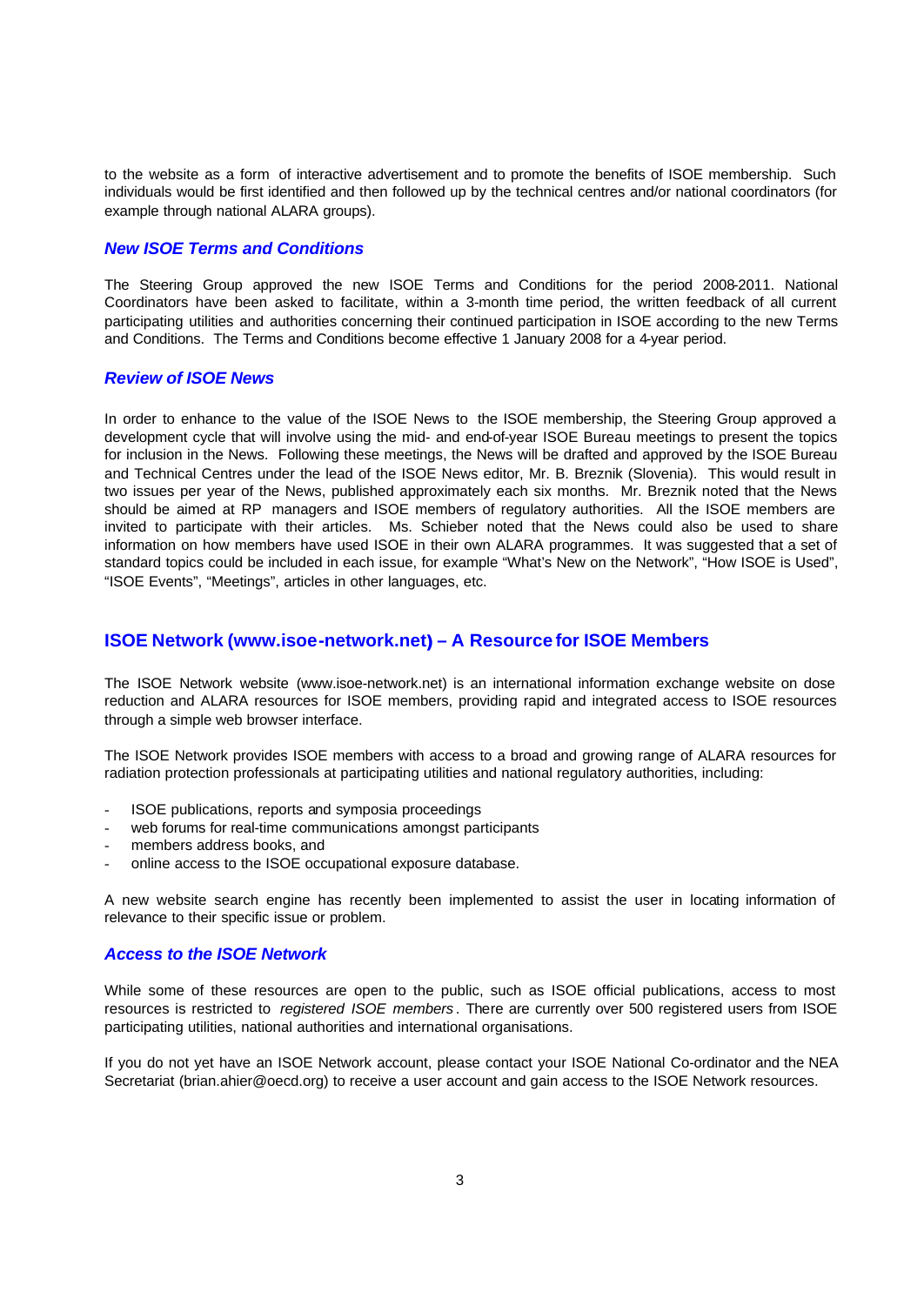to the website as a form of interactive advertisement and to promote the benefits of ISOE membership. Such individuals would be first identified and then followed up by the technical centres and/or national coordinators (for example through national ALARA groups).

## *New ISOE Terms and Conditions*

The Steering Group approved the new ISOE Terms and Conditions for the period 2008-2011. National Coordinators have been asked to facilitate, within a 3-month time period, the written feedback of all current participating utilities and authorities concerning their continued participation in ISOE according to the new Terms and Conditions. The Terms and Conditions become effective 1 January 2008 for a 4-year period.

#### *Review of ISOE News*

In order to enhance to the value of the ISOE News to the ISOE membership, the Steering Group approved a development cycle that will involve using the mid- and end-of-year ISOE Bureau meetings to present the topics for inclusion in the News. Following these meetings, the News will be drafted and approved by the ISOE Bureau and Technical Centres under the lead of the ISOE News editor, Mr. B. Breznik (Slovenia). This would result in two issues per year of the News, published approximately each six months. Mr. Breznik noted that the News should be aimed at RP managers and ISOE members of regulatory authorities. All the ISOE members are invited to participate with their articles. Ms. Schieber noted that the News could also be used to share information on how members have used ISOE in their own ALARA programmes. It was suggested that a set of standard topics could be included in each issue, for example "What's New on the Network", "How ISOE is Used", "ISOE Events", "Meetings", articles in other languages, etc.

## **ISOE Network (www.isoe-network.net) – A Resource for ISOE Members**

The ISOE Network website (www.isoe-network.net) is an international information exchange website on dose reduction and ALARA resources for ISOE members, providing rapid and integrated access to ISOE resources through a simple web browser interface.

The ISOE Network provides ISOE members with access to a broad and growing range of ALARA resources for radiation protection professionals at participating utilities and national regulatory authorities, including:

- ISOE publications, reports and symposia proceedings
- web forums for real-time communications amongst participants
- members address books, and
- online access to the ISOE occupational exposure database.

A new website search engine has recently been implemented to assist the user in locating information of relevance to their specific issue or problem.

#### *Access to the ISOE Network*

While some of these resources are open to the public, such as ISOE official publications, access to most resources is restricted to *registered ISOE members* . There are currently over 500 registered users from ISOE participating utilities, national authorities and international organisations.

If you do not yet have an ISOE Network account, please contact your ISOE National Co-ordinator and the NEA Secretariat (brian.ahier@oecd.org) to receive a user account and gain access to the ISOE Network resources.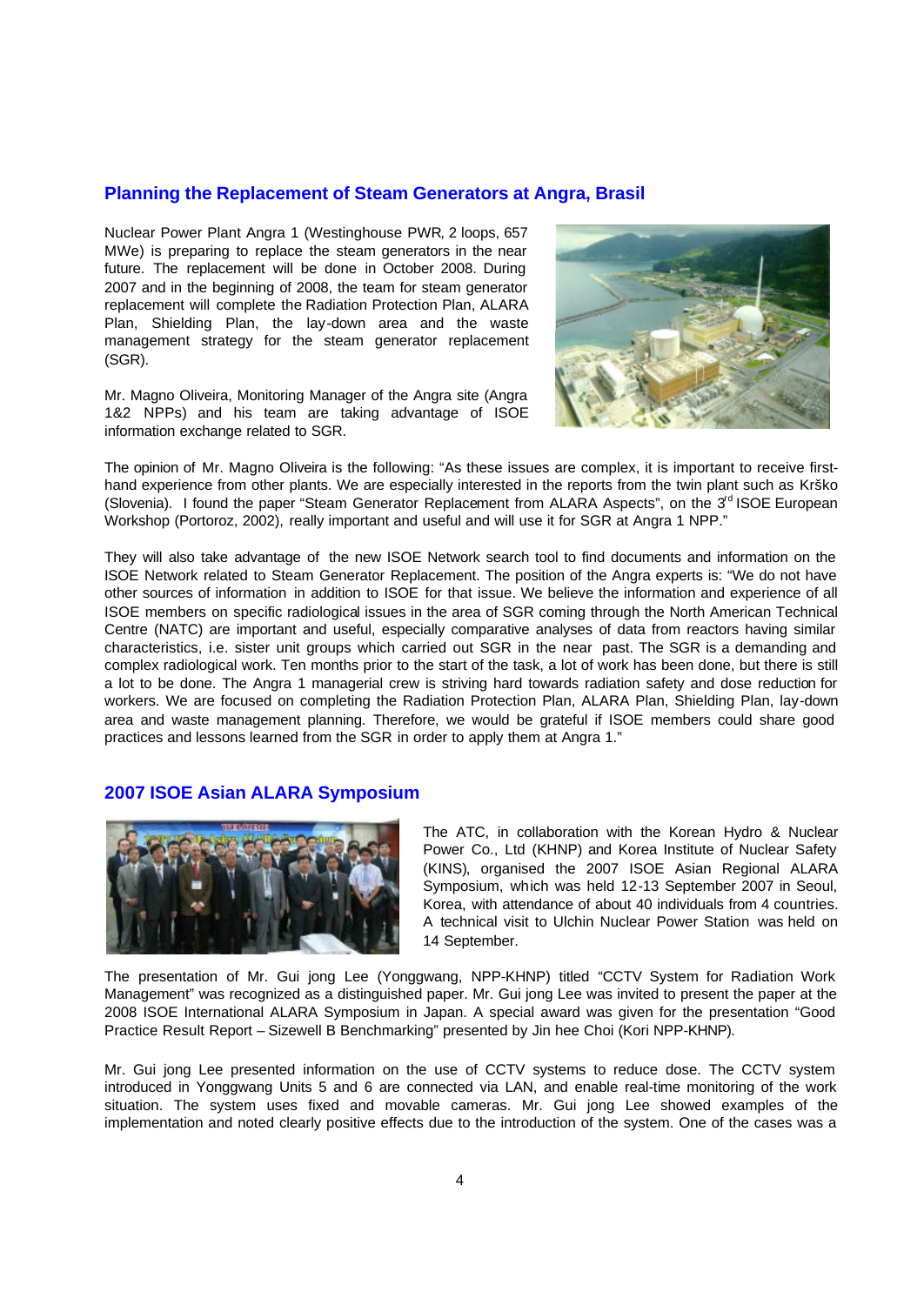#### **Planning the Replacement of Steam Generators at Angra, Brasil**

Nuclear Power Plant Angra 1 (Westinghouse PWR, 2 loops, 657 MWe) is preparing to replace the steam generators in the near future. The replacement will be done in October 2008. During 2007 and in the beginning of 2008, the team for steam generator replacement will complete the Radiation Protection Plan, ALARA Plan, Shielding Plan, the lay-down area and the waste management strategy for the steam generator replacement (SGR).

Mr. Magno Oliveira, Monitoring Manager of the Angra site (Angra 1&2 NPPs) and his team are taking advantage of ISOE information exchange related to SGR.



The opinion of Mr. Magno Oliveira is the following: "As these issues are complex, it is important to receive firsthand experience from other plants. We are especially interested in the reports from the twin plant such as Krško (Slovenia). I found the paper "Steam Generator Replacement from ALARA Aspects", on the  $3<sup>rd</sup>$  ISOE European Workshop (Portoroz, 2002), really important and useful and will use it for SGR at Angra 1 NPP."

They will also take advantage of the new ISOE Network search tool to find documents and information on the ISOE Network related to Steam Generator Replacement. The position of the Angra experts is: "We do not have other sources of information in addition to ISOE for that issue. We believe the information and experience of all ISOE members on specific radiological issues in the area of SGR coming through the North American Technical Centre (NATC) are important and useful, especially comparative analyses of data from reactors having similar characteristics, i.e. sister unit groups which carried out SGR in the near past. The SGR is a demanding and complex radiological work. Ten months prior to the start of the task, a lot of work has been done, but there is still a lot to be done. The Angra 1 managerial crew is striving hard towards radiation safety and dose reduction for workers. We are focused on completing the Radiation Protection Plan, ALARA Plan, Shielding Plan, lay-down area and waste management planning. Therefore, we would be grateful if ISOE members could share good practices and lessons learned from the SGR in order to apply them at Angra 1."

# **2007 ISOE Asian ALARA Symposium**



The ATC, in collaboration with the Korean Hydro & Nuclear Power Co., Ltd (KHNP) and Korea Institute of Nuclear Safety (KINS), organised the 2007 ISOE Asian Regional ALARA Symposium, which was held 12-13 September 2007 in Seoul, Korea, with attendance of about 40 individuals from 4 countries. A technical visit to Ulchin Nuclear Power Station was held on 14 September.

The presentation of Mr. Gui jong Lee (Yonggwang, NPP-KHNP) titled "CCTV System for Radiation Work Management" was recognized as a distinguished paper. Mr. Gui jong Lee was invited to present the paper at the 2008 ISOE International ALARA Symposium in Japan. A special award was given for the presentation "Good Practice Result Report – Sizewell B Benchmarking" presented by Jin hee Choi (Kori NPP-KHNP).

Mr. Gui jong Lee presented information on the use of CCTV systems to reduce dose. The CCTV system introduced in Yonggwang Units 5 and 6 are connected via LAN, and enable real-time monitoring of the work situation. The system uses fixed and movable cameras. Mr. Gui jong Lee showed examples of the implementation and noted clearly positive effects due to the introduction of the system. One of the cases was a